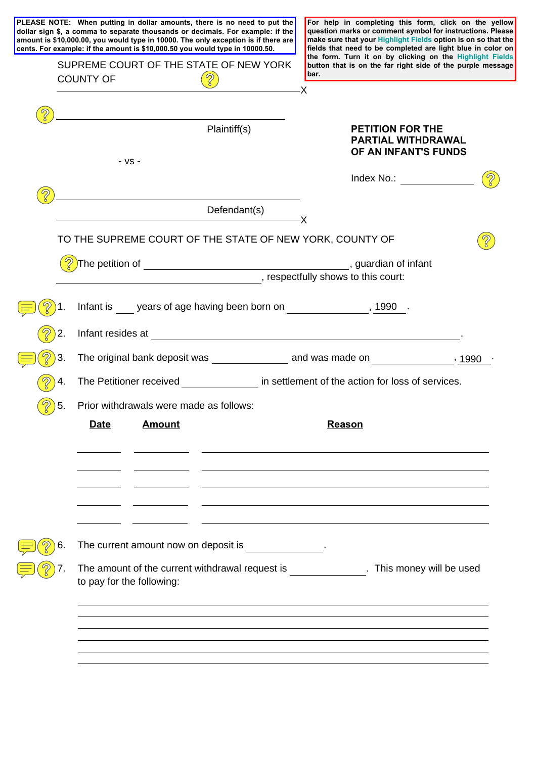|    |                                                                                                      |                                         | PLEASE NOTE: When putting in dollar amounts, there is no need to put the<br>dollar sign \$, a comma to separate thousands or decimals. For example: if the<br>amount is \$10,000.00, you would type in 10000. The only exception is if there are<br>cents. For example: if the amount is \$10,000.50 you would type in 10000.50. |               | For help in completing this form, click on the yellow<br>question marks or comment symbol for instructions. Please<br>make sure that your Highlight Fields option is on so that the<br>fields that need to be completed are light blue in color on |  |
|----|------------------------------------------------------------------------------------------------------|-----------------------------------------|----------------------------------------------------------------------------------------------------------------------------------------------------------------------------------------------------------------------------------------------------------------------------------------------------------------------------------|---------------|----------------------------------------------------------------------------------------------------------------------------------------------------------------------------------------------------------------------------------------------------|--|
|    | SUPREME COURT OF THE STATE OF NEW YORK<br><b>COUNTY OF</b>                                           |                                         |                                                                                                                                                                                                                                                                                                                                  | bar.          | the form. Turn it on by clicking on the Highlight Fields<br>button that is on the far right side of the purple message                                                                                                                             |  |
|    |                                                                                                      |                                         |                                                                                                                                                                                                                                                                                                                                  | X             |                                                                                                                                                                                                                                                    |  |
|    |                                                                                                      | $-VS -$                                 | Plaintiff(s)                                                                                                                                                                                                                                                                                                                     |               | <b>PETITION FOR THE</b><br><b>PARTIAL WITHDRAWAL</b><br>OF AN INFANT'S FUNDS                                                                                                                                                                       |  |
|    |                                                                                                      |                                         |                                                                                                                                                                                                                                                                                                                                  |               | Index No.: $\_\_$                                                                                                                                                                                                                                  |  |
|    |                                                                                                      |                                         | Defendant(s)                                                                                                                                                                                                                                                                                                                     | $-\mathsf{X}$ |                                                                                                                                                                                                                                                    |  |
|    |                                                                                                      |                                         | TO THE SUPREME COURT OF THE STATE OF NEW YORK, COUNTY OF                                                                                                                                                                                                                                                                         |               |                                                                                                                                                                                                                                                    |  |
|    |                                                                                                      |                                         | respectfully shows to this court:                                                                                                                                                                                                                                                                                                |               |                                                                                                                                                                                                                                                    |  |
|    |                                                                                                      |                                         | Infant is years of age having been born on the same states with the years of age having been born on                                                                                                                                                                                                                             |               |                                                                                                                                                                                                                                                    |  |
| 2. |                                                                                                      |                                         | Infant resides at experiment of the state of the state of the state of the state of the state of the state of the state of the state of the state of the state of the state of the state of the state of the state of the stat                                                                                                   |               |                                                                                                                                                                                                                                                    |  |
| 3. |                                                                                                      |                                         |                                                                                                                                                                                                                                                                                                                                  |               |                                                                                                                                                                                                                                                    |  |
| 4. |                                                                                                      |                                         | The Petitioner received <b>Exercise 1 and Settlement</b> of the action for loss of services.                                                                                                                                                                                                                                     |               |                                                                                                                                                                                                                                                    |  |
| 5. |                                                                                                      | Prior withdrawals were made as follows: |                                                                                                                                                                                                                                                                                                                                  |               |                                                                                                                                                                                                                                                    |  |
|    | <b>Date</b>                                                                                          | <b>Amount</b>                           |                                                                                                                                                                                                                                                                                                                                  | <b>Reason</b> |                                                                                                                                                                                                                                                    |  |
|    |                                                                                                      |                                         |                                                                                                                                                                                                                                                                                                                                  |               |                                                                                                                                                                                                                                                    |  |
|    |                                                                                                      |                                         |                                                                                                                                                                                                                                                                                                                                  |               |                                                                                                                                                                                                                                                    |  |
|    |                                                                                                      |                                         |                                                                                                                                                                                                                                                                                                                                  |               |                                                                                                                                                                                                                                                    |  |
| 6. |                                                                                                      |                                         | The current amount now on deposit is entitled as a set of the current amount now on deposit is                                                                                                                                                                                                                                   |               |                                                                                                                                                                                                                                                    |  |
|    | The amount of the current withdrawal request is This money will be used<br>to pay for the following: |                                         |                                                                                                                                                                                                                                                                                                                                  |               |                                                                                                                                                                                                                                                    |  |
|    |                                                                                                      |                                         |                                                                                                                                                                                                                                                                                                                                  |               |                                                                                                                                                                                                                                                    |  |
|    |                                                                                                      |                                         |                                                                                                                                                                                                                                                                                                                                  |               |                                                                                                                                                                                                                                                    |  |
|    |                                                                                                      |                                         |                                                                                                                                                                                                                                                                                                                                  |               |                                                                                                                                                                                                                                                    |  |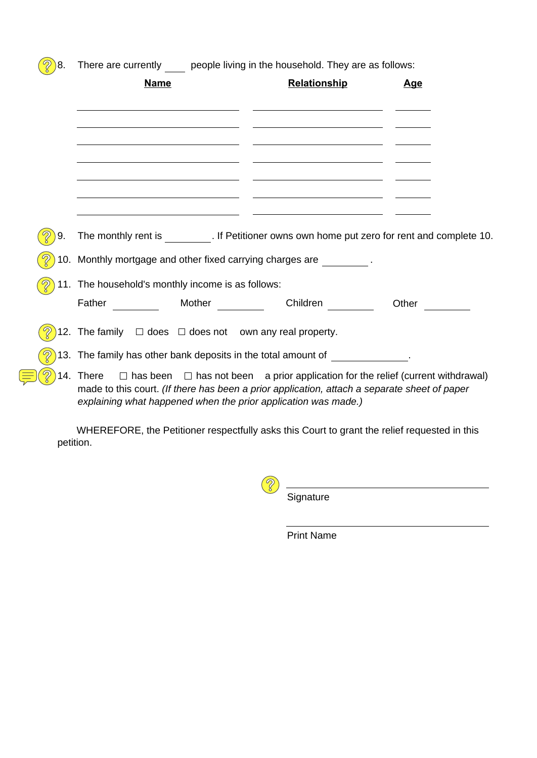| $\mathcal{D}$<br>$\big)8.$ | There are currently people living in the household. They are as follows:                                                                                                                                                                                                |                                                                            |                                                                                                                                                                                      |            |  |  |  |
|----------------------------|-------------------------------------------------------------------------------------------------------------------------------------------------------------------------------------------------------------------------------------------------------------------------|----------------------------------------------------------------------------|--------------------------------------------------------------------------------------------------------------------------------------------------------------------------------------|------------|--|--|--|
|                            | <b>Name</b>                                                                                                                                                                                                                                                             |                                                                            | <b>Relationship</b>                                                                                                                                                                  | <u>Age</u> |  |  |  |
|                            |                                                                                                                                                                                                                                                                         |                                                                            |                                                                                                                                                                                      |            |  |  |  |
|                            |                                                                                                                                                                                                                                                                         | the control of the control of the control of the control of the control of | <u> 1989 - Andrea Stadt Britain, amerikansk politiker (</u><br><u> Alexander de la construcción de la construcción de la construcción de la construcción de la construcción de l</u> |            |  |  |  |
|                            |                                                                                                                                                                                                                                                                         |                                                                            | the control of the control of the control of the control of the control of the control of                                                                                            |            |  |  |  |
| 9.                         |                                                                                                                                                                                                                                                                         |                                                                            | The monthly rent is __________. If Petitioner owns own home put zero for rent and complete 10.                                                                                       |            |  |  |  |
|                            |                                                                                                                                                                                                                                                                         |                                                                            | 10. Monthly mortgage and other fixed carrying charges are _________.                                                                                                                 |            |  |  |  |
|                            | 11. The household's monthly income is as follows:                                                                                                                                                                                                                       |                                                                            |                                                                                                                                                                                      |            |  |  |  |
|                            | Father Mother                                                                                                                                                                                                                                                           |                                                                            | Children                                                                                                                                                                             | Other      |  |  |  |
|                            | 12. The family $\Box$ does $\Box$ does not own any real property.                                                                                                                                                                                                       |                                                                            |                                                                                                                                                                                      |            |  |  |  |
|                            |                                                                                                                                                                                                                                                                         |                                                                            | 13. The family has other bank deposits in the total amount of _____________.                                                                                                         |            |  |  |  |
|                            | 14. There $\Box$ has been $\Box$ has not been a prior application for the relief (current withdrawal)<br>made to this court. (If there has been a prior application, attach a separate sheet of paper<br>explaining what happened when the prior application was made.) |                                                                            |                                                                                                                                                                                      |            |  |  |  |
|                            |                                                                                                                                                                                                                                                                         |                                                                            | MHEREEORE the Petitioner respectfully sake this Court to grapt the relief requested in this                                                                                          |            |  |  |  |

 WHEREFORE, the Petitioner respectfully asks this Court to grant the relief requested in this petition.

> 8 Signature

> > Print Name